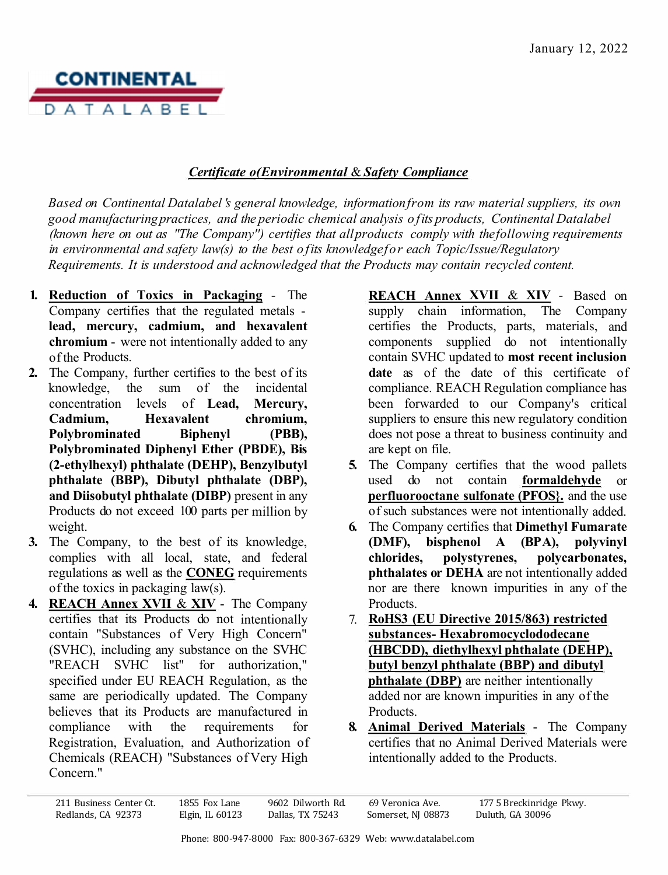

## *Certificate o(Environmental* & *Safety Compliance*

*Based on Continental Datalabel 's general knowledge, information from its raw material suppliers, its own good manufacturing practices, and the periodic chemical analysis of its products, Continental Datalabel (known here on out as "The Company'') certifies that all products comply with the following requirements in environmental and safety law(s) to the best of its knowledge for each Topic/Issue/Regulatory Requirements. It is understood and acknowledged that the Products may contain recycled content.* 

- **1. Reduction of Toxics in Packaging**  The Company certifies that the regulated metals **lead, mercury, cadmium, and hexavalent chromium** - were not intentionally added to any of the Products.
- **2.** The Company, further certifies to the best of its knowledge, the sum of the incidental concentration levels of **Lead, Mercury, Cadmium, Hexavalent chromium, Polybrominated Biphenyl (PBB), Polybrominated Diphenyl Ether (PBDE), Bis (2-ethylhexyl) phthalate (DEHP), Benzylbutyl phthalate (BBP), Dibutyl phthalate (DBP), and Diisobutyl phthalate (DIBP)** present in any Products do not exceed 100 parts per million by weight.
- **3.** The Company, to the best of its knowledge, complies with all local, state, and federal regulations as well as the **CONEG** requirements of the toxics in packaging law(s).
- **4. REACH Annex XVII** & **XIV**  The Company certifies that its Products do not intentionally contain "Substances of Very High Concern" (SVHC), including any substance on the SVHC "REACH SVHC list" for authorization," specified under EU REACH Regulation, as the same are periodically updated. The Company believes that its Products are manufactured in compliance with the requirements for Registration, Evaluation, and Authorization of Chemicals (REACH) "Substances of Very High Concern."

**REACH Annex XVII** & **XIV** - Based on supply chain information, The Company certifies the Products, parts, materials, and components supplied do not intentionally contain SVHC updated to **most recent inclusion date** as of the date of this certificate of compliance. REACH Regulation compliance has been forwarded to our Company's critical suppliers to ensure this new regulatory condition does not pose a threat to business continuity and are kept on file.

- **5.** The Company certifies that the wood pallets used do not contain **formaldehyde** or **perfluorooctane sulfonate (PFOS}.** and the use of such substances were not intentionally added.
- **6.** The Company certifies that **Dimethyl Fumarate (DMF), bisphenol A (BPA), polyvinyl chlorides, polystyrenes, polycarbonates, phthalates or DEHA** are not intentionally added nor are there known impurities in any of the Products.
- 7. **RoHS3 (EU Directive 2015/863) restricted substances- Hexabromocyclododecane (HBCDD), diethylhexyl phthalate (DEHP), butyl benzyl phthalate (BBP) and dibutyl phthalate (DBP)** are neither intentionally added nor are known impurities in any of the Products.
- **8. Animal Derived Materials**  The Company certifies that no Animal Derived Materials were intentionally added to the Products.